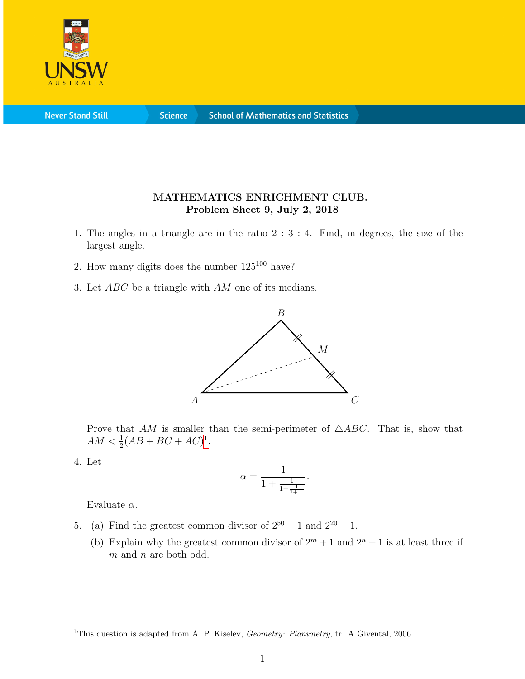

**Science** 

## MATHEMATICS ENRICHMENT CLUB. Problem Sheet 9, July 2, 2018

- 1. The angles in a triangle are in the ratio 2 : 3 : 4. Find, in degrees, the size of the largest angle.
- 2. How many digits does the number  $125^{100}$  have?
- 3. Let ABC be a triangle with AM one of its medians.



Prove that AM is smaller than the semi-perimeter of  $\triangle ABC$ . That is, show that  $AM < \frac{1}{2}(AB + BC + AC)^{1}.$  $AM < \frac{1}{2}(AB + BC + AC)^{1}.$  $AM < \frac{1}{2}(AB + BC + AC)^{1}.$ 

4. Let

$$
\alpha = \frac{1}{1 + \frac{1}{1 + \frac{1}{1 + \dots}}}.
$$

Evaluate  $\alpha$ .

- 5. (a) Find the greatest common divisor of  $2^{50} + 1$  and  $2^{20} + 1$ .
	- (b) Explain why the greatest common divisor of  $2^m + 1$  and  $2^n + 1$  is at least three if m and n are both odd.

<span id="page-0-0"></span><sup>&</sup>lt;sup>1</sup>This question is adapted from A. P. Kiselev, *Geometry: Planimetry*, tr. A Givental, 2006